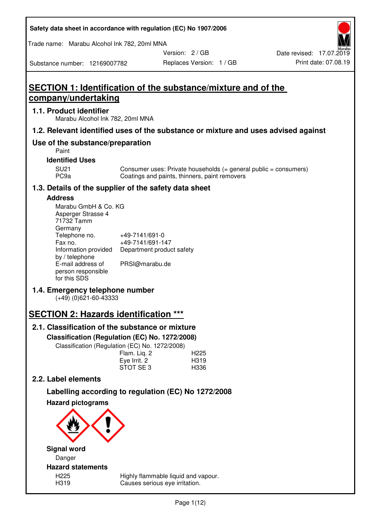| Safety data sheet in accordance with regulation (EC) No 1907/2006 |  |
|-------------------------------------------------------------------|--|
|-------------------------------------------------------------------|--|

Trade name: Marabu Alcohol Ink 782, 20ml MNA

Version: 2 / GB

Substance number: 12169007782

# **SECTION 1: Identification of the substance/mixture and of the company/undertaking**

# **1.1. Product identifier**

Marabu Alcohol Ink 782, 20ml MNA

# **1.2. Relevant identified uses of the substance or mixture and uses advised against**

# **Use of the substance/preparation**

Paint

## **Identified Uses**

SU21 Consumer uses: Private households (= general public = consumers)<br>PC9a Coatings and paints, thinners, paint removers Coatings and paints, thinners, paint removers

# **1.3. Details of the supplier of the safety data sheet**

# **Address**

| Marabu GmbH & Co. KG |                           |
|----------------------|---------------------------|
| Asperger Strasse 4   |                           |
| 71732 Tamm           |                           |
| Germany              |                           |
| Telephone no.        | +49-7141/691-0            |
| Fax no.              | +49-7141/691-147          |
| Information provided | Department product safety |
| by / telephone       |                           |
| E-mail address of    | PRSI@marabu.de            |
| person responsible   |                           |
| for this SDS         |                           |

# **1.4. Emergency telephone number**

(+49) (0)621-60-43333

# **SECTION 2: Hazards identification \*\*\***

# **2.1. Classification of the substance or mixture**

**Classification (Regulation (EC) No. 1272/2008)** 

Classification (Regulation (EC) No. 1272/2008)

|              | . |                  |
|--------------|---|------------------|
| Flam. Liq. 2 |   | H <sub>225</sub> |
| Eye Irrit. 2 |   | H319             |
| STOT SE3     |   | H336             |
|              |   |                  |

# **2.2. Label elements**

# **Labelling according to regulation (EC) No 1272/2008**



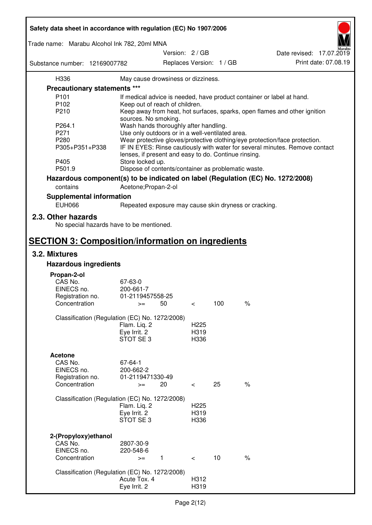| Safety data sheet in accordance with regulation (EC) No 1907/2006 |                                                       |                                           |     |                                                                                 |  |
|-------------------------------------------------------------------|-------------------------------------------------------|-------------------------------------------|-----|---------------------------------------------------------------------------------|--|
| Trade name: Marabu Alcohol Ink 782, 20ml MNA                      |                                                       |                                           |     |                                                                                 |  |
| Substance number: 12169007782                                     |                                                       | Version: 2/GB<br>Replaces Version: 1 / GB |     | Date revised: 17.07.2019<br>Print date: 07.08.19                                |  |
| H336                                                              | May cause drowsiness or dizziness.                    |                                           |     |                                                                                 |  |
| <b>Precautionary statements ***</b>                               |                                                       |                                           |     |                                                                                 |  |
| P <sub>101</sub>                                                  |                                                       |                                           |     | If medical advice is needed, have product container or label at hand.           |  |
| P102                                                              | Keep out of reach of children.                        |                                           |     |                                                                                 |  |
| P210                                                              |                                                       |                                           |     | Keep away from heat, hot surfaces, sparks, open flames and other ignition       |  |
|                                                                   | sources. No smoking.                                  |                                           |     |                                                                                 |  |
| P264.1                                                            | Wash hands thoroughly after handling.                 |                                           |     |                                                                                 |  |
| P271                                                              | Use only outdoors or in a well-ventilated area.       |                                           |     |                                                                                 |  |
| P280                                                              |                                                       |                                           |     | Wear protective gloves/protective clothing/eye protection/face protection.      |  |
| P305+P351+P338                                                    |                                                       |                                           |     | IF IN EYES: Rinse cautiously with water for several minutes. Remove contact     |  |
|                                                                   | lenses, if present and easy to do. Continue rinsing.  |                                           |     |                                                                                 |  |
| P405                                                              | Store locked up.                                      |                                           |     |                                                                                 |  |
| P501.9                                                            | Dispose of contents/container as problematic waste.   |                                           |     |                                                                                 |  |
|                                                                   |                                                       |                                           |     |                                                                                 |  |
|                                                                   |                                                       |                                           |     | Hazardous component(s) to be indicated on label (Regulation (EC) No. 1272/2008) |  |
| contains                                                          | Acetone; Propan-2-ol                                  |                                           |     |                                                                                 |  |
| <b>Supplemental information</b>                                   |                                                       |                                           |     |                                                                                 |  |
| <b>EUH066</b>                                                     | Repeated exposure may cause skin dryness or cracking. |                                           |     |                                                                                 |  |
|                                                                   |                                                       |                                           |     |                                                                                 |  |
| 2.3. Other hazards<br>No special hazards have to be mentioned.    |                                                       |                                           |     |                                                                                 |  |
| <b>SECTION 3: Composition/information on ingredients</b>          |                                                       |                                           |     |                                                                                 |  |
| 3.2. Mixtures                                                     |                                                       |                                           |     |                                                                                 |  |
| <b>Hazardous ingredients</b>                                      |                                                       |                                           |     |                                                                                 |  |
|                                                                   |                                                       |                                           |     |                                                                                 |  |
| Propan-2-ol                                                       |                                                       |                                           |     |                                                                                 |  |
| CAS No.                                                           | 67-63-0                                               |                                           |     |                                                                                 |  |
| EINECS no.                                                        | 200-661-7                                             |                                           |     |                                                                                 |  |
| Registration no.                                                  | 01-2119457558-25                                      |                                           | 100 | $\%$                                                                            |  |
| Concentration                                                     | 50<br>$>=$                                            | $\,<\,$                                   |     |                                                                                 |  |
|                                                                   | Classification (Regulation (EC) No. 1272/2008)        |                                           |     |                                                                                 |  |
|                                                                   | Flam. Liq. 2                                          | H <sub>225</sub>                          |     |                                                                                 |  |
|                                                                   | Eye Irrit. 2                                          | H319                                      |     |                                                                                 |  |
|                                                                   | STOT SE 3                                             | H336                                      |     |                                                                                 |  |
|                                                                   |                                                       |                                           |     |                                                                                 |  |
| <b>Acetone</b>                                                    |                                                       |                                           |     |                                                                                 |  |
| CAS No.                                                           | 67-64-1                                               |                                           |     |                                                                                 |  |
| EINECS no.                                                        | 200-662-2                                             |                                           |     |                                                                                 |  |
| Registration no.                                                  | 01-2119471330-49                                      |                                           |     |                                                                                 |  |
| Concentration                                                     | 20<br>$>=$                                            | $\,<\,$                                   | 25  | $\%$                                                                            |  |
|                                                                   |                                                       |                                           |     |                                                                                 |  |
|                                                                   | Classification (Regulation (EC) No. 1272/2008)        |                                           |     |                                                                                 |  |
|                                                                   | Flam. Liq. 2                                          | H <sub>225</sub>                          |     |                                                                                 |  |
|                                                                   | Eye Irrit. 2                                          | H319                                      |     |                                                                                 |  |
|                                                                   | STOT SE3                                              | H336                                      |     |                                                                                 |  |
|                                                                   |                                                       |                                           |     |                                                                                 |  |
| 2-(Propyloxy) ethanol                                             |                                                       |                                           |     |                                                                                 |  |
| CAS No.                                                           | 2807-30-9                                             |                                           |     |                                                                                 |  |
| EINECS no.                                                        | 220-548-6                                             |                                           |     |                                                                                 |  |
| Concentration                                                     | $\mathbf{1}$<br>$>=$                                  | $\lt$                                     | 10  | $\%$                                                                            |  |
|                                                                   |                                                       |                                           |     |                                                                                 |  |
|                                                                   | Classification (Regulation (EC) No. 1272/2008)        |                                           |     |                                                                                 |  |
|                                                                   | Acute Tox. 4                                          | H312                                      |     |                                                                                 |  |
|                                                                   | Eye Irrit. 2                                          | H319                                      |     |                                                                                 |  |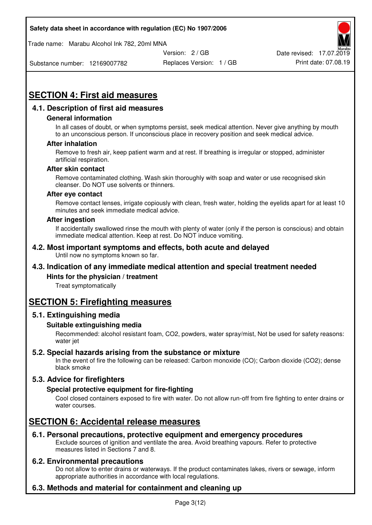Trade name: Marabu Alcohol Ink 782, 20ml MNA



Substance number: 12169007782

Replaces Version: 1 / GB Print date: 07.08.19

# **SECTION 4: First aid measures**

# **4.1. Description of first aid measures**

## **General information**

In all cases of doubt, or when symptoms persist, seek medical attention. Never give anything by mouth to an unconscious person. If unconscious place in recovery position and seek medical advice.

## **After inhalation**

Remove to fresh air, keep patient warm and at rest. If breathing is irregular or stopped, administer artificial respiration.

#### **After skin contact**

Remove contaminated clothing. Wash skin thoroughly with soap and water or use recognised skin cleanser. Do NOT use solvents or thinners.

#### **After eye contact**

Remove contact lenses, irrigate copiously with clean, fresh water, holding the eyelids apart for at least 10 minutes and seek immediate medical advice.

#### **After ingestion**

If accidentally swallowed rinse the mouth with plenty of water (only if the person is conscious) and obtain immediate medical attention. Keep at rest. Do NOT induce vomiting.

#### **4.2. Most important symptoms and effects, both acute and delayed**  Until now no symptoms known so far.

# **4.3. Indication of any immediate medical attention and special treatment needed**

## **Hints for the physician / treatment**

Treat symptomatically

# **SECTION 5: Firefighting measures**

## **5.1. Extinguishing media**

## **Suitable extinguishing media**

Recommended: alcohol resistant foam, CO2, powders, water spray/mist, Not be used for safety reasons: water jet

## **5.2. Special hazards arising from the substance or mixture**

In the event of fire the following can be released: Carbon monoxide (CO); Carbon dioxide (CO2); dense black smoke

# **5.3. Advice for firefighters**

## **Special protective equipment for fire-fighting**

Cool closed containers exposed to fire with water. Do not allow run-off from fire fighting to enter drains or water courses.

# **SECTION 6: Accidental release measures**

# **6.1. Personal precautions, protective equipment and emergency procedures**

Exclude sources of ignition and ventilate the area. Avoid breathing vapours. Refer to protective measures listed in Sections 7 and 8.

## **6.2. Environmental precautions**

Do not allow to enter drains or waterways. If the product contaminates lakes, rivers or sewage, inform appropriate authorities in accordance with local regulations.

# **6.3. Methods and material for containment and cleaning up**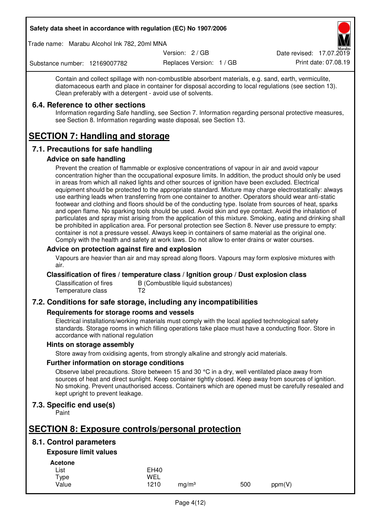Trade name: Marabu Alcohol Ink 782, 20ml MNA

Version: 2 / GB

Replaces Version: 1 / GB Print date: 07.08.19 Date revised: 17.07.2019

Substance number: 12169007782

Contain and collect spillage with non-combustible absorbent materials, e.g. sand, earth, vermiculite, diatomaceous earth and place in container for disposal according to local regulations (see section 13). Clean preferably with a detergent - avoid use of solvents.

## **6.4. Reference to other sections**

Information regarding Safe handling, see Section 7. Information regarding personal protective measures, see Section 8. Information regarding waste disposal, see Section 13.

# **SECTION 7: Handling and storage**

# **7.1. Precautions for safe handling**

## **Advice on safe handling**

Prevent the creation of flammable or explosive concentrations of vapour in air and avoid vapour concentration higher than the occupational exposure limits. In addition, the product should only be used in areas from which all naked lights and other sources of ignition have been excluded. Electrical equipment should be protected to the appropriate standard. Mixture may charge electrostatically: always use earthing leads when transferring from one container to another. Operators should wear anti-static footwear and clothing and floors should be of the conducting type. Isolate from sources of heat, sparks and open flame. No sparking tools should be used. Avoid skin and eye contact. Avoid the inhalation of particulates and spray mist arising from the application of this mixture. Smoking, eating and drinking shall be prohibited in application area. For personal protection see Section 8. Never use pressure to empty: container is not a pressure vessel. Always keep in containers of same material as the original one. Comply with the health and safety at work laws. Do not allow to enter drains or water courses.

## **Advice on protection against fire and explosion**

Vapours are heavier than air and may spread along floors. Vapours may form explosive mixtures with air.

## **Classification of fires / temperature class / Ignition group / Dust explosion class**

Classification of fires B (Combustible liquid substances)<br>Temperature class T2 Temperature class

# **7.2. Conditions for safe storage, including any incompatibilities**

## **Requirements for storage rooms and vessels**

Electrical installations/working materials must comply with the local applied technological safety standards. Storage rooms in which filling operations take place must have a conducting floor. Store in accordance with national regulation

## **Hints on storage assembly**

Store away from oxidising agents, from strongly alkaline and strongly acid materials.

## **Further information on storage conditions**

Observe label precautions. Store between 15 and 30 °C in a dry, well ventilated place away from sources of heat and direct sunlight. Keep container tightly closed. Keep away from sources of ignition. No smoking. Prevent unauthorised access. Containers which are opened must be carefully resealed and kept upright to prevent leakage.

# **7.3. Specific end use(s)**

Paint

# **SECTION 8: Exposure controls/personal protection**

# **8.1. Control parameters**

# **Exposure limit values**

**Acetone** 

| -------- |             |                   |     |        |
|----------|-------------|-------------------|-----|--------|
| List     | <b>EH40</b> |                   |     |        |
| Type     | WEL         |                   |     |        |
| Value    | 1210        | ma/m <sup>3</sup> | 500 | ppm(V) |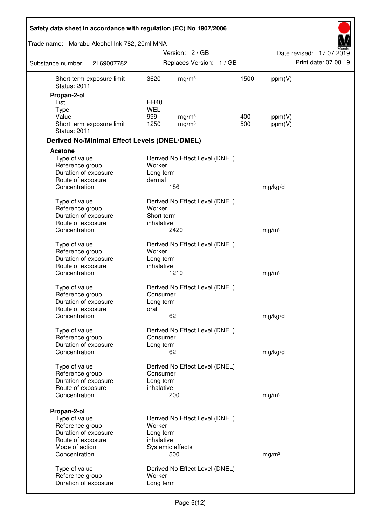| Safety data sheet in accordance with regulation (EC) No 1907/2006 |                         |                                        |      |                   |                          |
|-------------------------------------------------------------------|-------------------------|----------------------------------------|------|-------------------|--------------------------|
| Trade name: Marabu Alcohol Ink 782, 20ml MNA                      |                         |                                        |      |                   | Aarabu                   |
|                                                                   |                         | Version: 2 / GB                        |      |                   | Date revised: 17.07.2019 |
| Substance number: 12169007782                                     |                         | Replaces Version: 1 / GB               |      |                   | Print date: 07.08.19     |
| Short term exposure limit<br><b>Status: 2011</b>                  | 3620                    | mg/m <sup>3</sup>                      | 1500 | ppm(V)            |                          |
| Propan-2-ol                                                       |                         |                                        |      |                   |                          |
| List                                                              | <b>EH40</b>             |                                        |      |                   |                          |
| <b>Type</b><br>Value                                              | <b>WEL</b><br>999       |                                        | 400  |                   |                          |
| Short term exposure limit<br><b>Status: 2011</b>                  | 1250                    | mg/m <sup>3</sup><br>mg/m <sup>3</sup> | 500  | ppm(V)<br>ppm(V)  |                          |
| <b>Derived No/Minimal Effect Levels (DNEL/DMEL)</b>               |                         |                                        |      |                   |                          |
| Acetone                                                           |                         |                                        |      |                   |                          |
| Type of value<br>Reference group                                  | Worker                  | Derived No Effect Level (DNEL)         |      |                   |                          |
| Duration of exposure<br>Route of exposure                         | Long term<br>dermal     |                                        |      |                   |                          |
| Concentration                                                     |                         | 186                                    |      | mg/kg/d           |                          |
| Type of value<br>Reference group                                  | Worker                  | Derived No Effect Level (DNEL)         |      |                   |                          |
| Duration of exposure                                              | Short term              |                                        |      |                   |                          |
| Route of exposure                                                 | inhalative              |                                        |      |                   |                          |
| Concentration                                                     |                         | 2420                                   |      | mg/m <sup>3</sup> |                          |
| Type of value                                                     |                         | Derived No Effect Level (DNEL)         |      |                   |                          |
| Reference group                                                   | Worker                  |                                        |      |                   |                          |
| Duration of exposure<br>Route of exposure                         | Long term<br>inhalative |                                        |      |                   |                          |
| Concentration                                                     |                         | 1210                                   |      | mg/m <sup>3</sup> |                          |
| Type of value                                                     |                         | Derived No Effect Level (DNEL)         |      |                   |                          |
| Reference group                                                   | Consumer                |                                        |      |                   |                          |
| Duration of exposure                                              | Long term               |                                        |      |                   |                          |
| Route of exposure                                                 | oral                    |                                        |      |                   |                          |
| Concentration                                                     |                         | 62                                     |      | mg/kg/d           |                          |
| Type of value<br>Reference group                                  | Consumer                | Derived No Effect Level (DNEL)         |      |                   |                          |
| Duration of exposure                                              | Long term               |                                        |      |                   |                          |
| Concentration                                                     |                         | 62                                     |      | mg/kg/d           |                          |
| Type of value                                                     |                         | Derived No Effect Level (DNEL)         |      |                   |                          |
| Reference group                                                   | Consumer                |                                        |      |                   |                          |
| Duration of exposure                                              | Long term               |                                        |      |                   |                          |
| Route of exposure                                                 | inhalative              |                                        |      |                   |                          |
| Concentration                                                     |                         | 200                                    |      | mg/m <sup>3</sup> |                          |
| Propan-2-ol                                                       |                         |                                        |      |                   |                          |
| Type of value                                                     |                         | Derived No Effect Level (DNEL)         |      |                   |                          |
| Reference group<br>Duration of exposure                           | Worker<br>Long term     |                                        |      |                   |                          |
| Route of exposure                                                 | inhalative              |                                        |      |                   |                          |
| Mode of action                                                    |                         | Systemic effects                       |      |                   |                          |
| Concentration                                                     |                         | 500                                    |      | mg/m <sup>3</sup> |                          |
| Type of value                                                     |                         | Derived No Effect Level (DNEL)         |      |                   |                          |
| Reference group                                                   | Worker                  |                                        |      |                   |                          |
| Duration of exposure                                              | Long term               |                                        |      |                   |                          |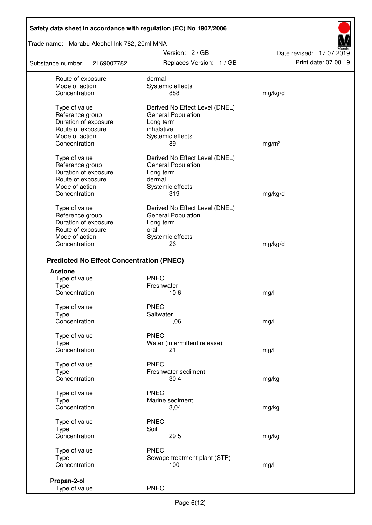Trade name: Marabu Alcohol Ink 782, 20ml MNA

Substance number: 12169007782

Version: 2 / GB Replaces Version: 1 / GB Print date: 07.08.19

Date revised: 17.07.2019

| Route of exposure<br>Mode of action<br>Concentration                                                             | dermal<br>Systemic effects<br>888                                                                                | mg/kg/d           |
|------------------------------------------------------------------------------------------------------------------|------------------------------------------------------------------------------------------------------------------|-------------------|
| Type of value<br>Reference group<br>Duration of exposure<br>Route of exposure<br>Mode of action<br>Concentration | Derived No Effect Level (DNEL)<br><b>General Population</b><br>Long term<br>inhalative<br>Systemic effects<br>89 | mg/m <sup>3</sup> |
| Type of value<br>Reference group<br>Duration of exposure<br>Route of exposure<br>Mode of action                  | Derived No Effect Level (DNEL)<br><b>General Population</b><br>Long term<br>dermal<br>Systemic effects           |                   |
| Concentration                                                                                                    | 319                                                                                                              | mg/kg/d           |
| Type of value<br>Reference group<br>Duration of exposure<br>Route of exposure<br>Mode of action<br>Concentration | Derived No Effect Level (DNEL)<br><b>General Population</b><br>Long term<br>oral<br>Systemic effects<br>26       | mg/kg/d           |
|                                                                                                                  |                                                                                                                  |                   |
| <b>Predicted No Effect Concentration (PNEC)</b>                                                                  |                                                                                                                  |                   |
| Acetone                                                                                                          | <b>PNEC</b>                                                                                                      |                   |
| Type of value<br>Type                                                                                            | Freshwater                                                                                                       |                   |
| Concentration                                                                                                    | 10,6                                                                                                             | mg/l              |
| Type of value                                                                                                    | <b>PNEC</b>                                                                                                      |                   |
| <b>Type</b>                                                                                                      | Saltwater                                                                                                        |                   |
| Concentration                                                                                                    | 1,06                                                                                                             | mg/l              |
| Type of value                                                                                                    | <b>PNEC</b>                                                                                                      |                   |
| Type                                                                                                             | Water (intermittent release)                                                                                     |                   |
| Concentration                                                                                                    | 21                                                                                                               | mg/l              |
| Type of value                                                                                                    | <b>PNEC</b>                                                                                                      |                   |
| Type                                                                                                             | Freshwater sediment                                                                                              |                   |
| Concentration                                                                                                    | 30,4                                                                                                             | mg/kg             |
| Type of value                                                                                                    | <b>PNEC</b>                                                                                                      |                   |
| Type                                                                                                             | Marine sediment                                                                                                  |                   |
| Concentration                                                                                                    | 3,04                                                                                                             | mg/kg             |
| Type of value                                                                                                    | <b>PNEC</b>                                                                                                      |                   |
| <b>Type</b>                                                                                                      | Soil                                                                                                             |                   |
| Concentration                                                                                                    | 29,5                                                                                                             | mg/kg             |
| Type of value                                                                                                    | <b>PNEC</b>                                                                                                      |                   |
| Type                                                                                                             | Sewage treatment plant (STP)                                                                                     |                   |
| Concentration                                                                                                    | 100                                                                                                              | mg/l              |
|                                                                                                                  |                                                                                                                  |                   |
| Propan-2-ol                                                                                                      |                                                                                                                  |                   |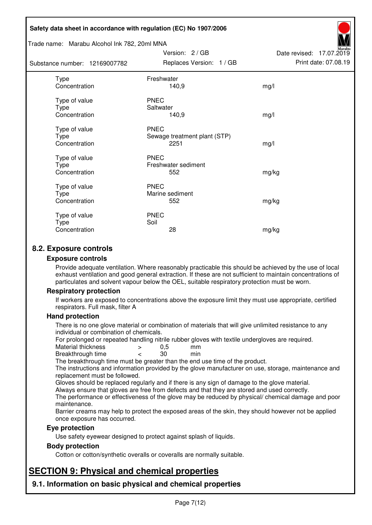#### Trade name: Marabu Alcohol Ink 782, 20ml MNA

Subst

| tance number: 12169007782              | Replaces Version: 1 / GB                            | Print date: 07.08.19 |
|----------------------------------------|-----------------------------------------------------|----------------------|
| Type<br>Concentration                  | Freshwater<br>140,9                                 | mg/l                 |
| Type of value<br>Type<br>Concentration | <b>PNEC</b><br>Saltwater<br>140,9                   | mg/l                 |
| Type of value<br>Type<br>Concentration | <b>PNEC</b><br>Sewage treatment plant (STP)<br>2251 | mg/l                 |
| Type of value<br>Type<br>Concentration | <b>PNEC</b><br>Freshwater sediment<br>552           | mg/kg                |
| Type of value<br>Type<br>Concentration | <b>PNEC</b><br>Marine sediment<br>552               | mg/kg                |
| Type of value<br>Type<br>Concentration | <b>PNEC</b><br>Soil<br>28                           | mg/kg                |

Version: 2 / GB

Date revised: 17.07.2019

# **8.2. Exposure controls**

#### **Exposure controls**

Provide adequate ventilation. Where reasonably practicable this should be achieved by the use of local exhaust ventilation and good general extraction. If these are not sufficient to maintain concentrations of particulates and solvent vapour below the OEL, suitable respiratory protection must be worn.

## **Respiratory protection**

If workers are exposed to concentrations above the exposure limit they must use appropriate, certified respirators. Full mask, filter A

#### **Hand protection**

There is no one glove material or combination of materials that will give unlimited resistance to any individual or combination of chemicals.

For prolonged or repeated handling nitrile rubber gloves with textile undergloves are required.<br>Material thickness  $\geq 0.5$  mm

- Material thickness  $\begin{array}{ccc} 0.5 \\ -8.5 \end{array}$  Material thickness  $\begin{array}{ccc} 0.5 \\ -8.5 \end{array}$
- Breakthrough time < 30 min

The breakthrough time must be greater than the end use time of the product.

The instructions and information provided by the glove manufacturer on use, storage, maintenance and replacement must be followed.

Gloves should be replaced regularly and if there is any sign of damage to the glove material.

Always ensure that gloves are free from defects and that they are stored and used correctly.

The performance or effectiveness of the glove may be reduced by physical/ chemical damage and poor maintenance.

Barrier creams may help to protect the exposed areas of the skin, they should however not be applied once exposure has occurred.

## **Eye protection**

Use safety eyewear designed to protect against splash of liquids.

## **Body protection**

Cotton or cotton/synthetic overalls or coveralls are normally suitable.

# **SECTION 9: Physical and chemical properties**

**9.1. Information on basic physical and chemical properties**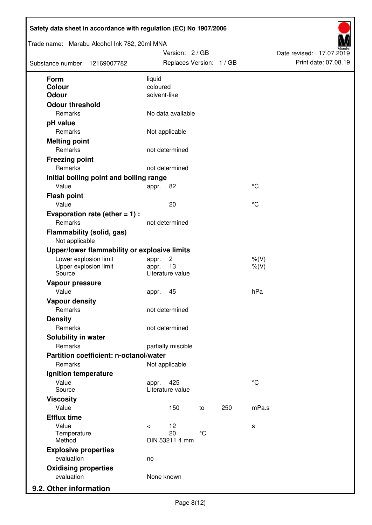| Trade name: Marabu Alcohol Ink 782, 20ml MNA<br>Substance number: 12169007782 |              | Version: 2 / GB<br>Replaces Version: 1 / GB |             |     |             | Date revised: 17.07.2019 | Print date: 07.08.19 |
|-------------------------------------------------------------------------------|--------------|---------------------------------------------|-------------|-----|-------------|--------------------------|----------------------|
| <b>Form</b>                                                                   | liquid       |                                             |             |     |             |                          |                      |
| <b>Colour</b>                                                                 | coloured     |                                             |             |     |             |                          |                      |
| <b>Odour</b>                                                                  | solvent-like |                                             |             |     |             |                          |                      |
| <b>Odour threshold</b>                                                        |              |                                             |             |     |             |                          |                      |
| Remarks                                                                       |              | No data available                           |             |     |             |                          |                      |
| pH value                                                                      |              |                                             |             |     |             |                          |                      |
| Remarks                                                                       |              | Not applicable                              |             |     |             |                          |                      |
| <b>Melting point</b>                                                          |              |                                             |             |     |             |                          |                      |
| Remarks                                                                       |              | not determined                              |             |     |             |                          |                      |
| <b>Freezing point</b>                                                         |              |                                             |             |     |             |                          |                      |
| Remarks                                                                       |              | not determined                              |             |     |             |                          |                      |
| Initial boiling point and boiling range                                       |              |                                             |             |     |             |                          |                      |
| Value                                                                         | appr.        | 82                                          |             |     | $^{\circ}C$ |                          |                      |
| <b>Flash point</b>                                                            |              |                                             |             |     |             |                          |                      |
| Value                                                                         |              | 20                                          |             |     | $^{\circ}C$ |                          |                      |
| Evaporation rate (ether $= 1$ ) :                                             |              |                                             |             |     |             |                          |                      |
| Remarks                                                                       |              | not determined                              |             |     |             |                          |                      |
| <b>Flammability (solid, gas)</b><br>Not applicable                            |              |                                             |             |     |             |                          |                      |
| Upper/lower flammability or explosive limits                                  |              |                                             |             |     |             |                          |                      |
| Lower explosion limit                                                         | appr.        | $\overline{c}$                              |             |     | $%$ (V)     |                          |                      |
| Upper explosion limit<br>Source                                               | appr.        | 13<br>Literature value                      |             |     | $%$ (V)     |                          |                      |
| Vapour pressure                                                               |              |                                             |             |     |             |                          |                      |
| Value                                                                         | appr.        | 45                                          |             |     | hPa         |                          |                      |
| <b>Vapour density</b>                                                         |              |                                             |             |     |             |                          |                      |
| Remarks                                                                       |              | not determined                              |             |     |             |                          |                      |
| <b>Density</b>                                                                |              |                                             |             |     |             |                          |                      |
| Remarks                                                                       |              | not determined                              |             |     |             |                          |                      |
| Solubility in water                                                           |              |                                             |             |     |             |                          |                      |
| Remarks                                                                       |              | partially miscible                          |             |     |             |                          |                      |
| Partition coefficient: n-octanol/water                                        |              |                                             |             |     |             |                          |                      |
| Remarks                                                                       |              | Not applicable                              |             |     |             |                          |                      |
| Ignition temperature                                                          |              |                                             |             |     |             |                          |                      |
| Value<br>Source                                                               | appr.        | 425<br>Literature value                     |             |     | $^{\circ}C$ |                          |                      |
| <b>Viscosity</b>                                                              |              |                                             |             |     |             |                          |                      |
| Value                                                                         |              | 150                                         | to          | 250 | mPa.s       |                          |                      |
| <b>Efflux time</b>                                                            |              |                                             |             |     |             |                          |                      |
| Value                                                                         | $\prec$      | 12                                          |             |     | s           |                          |                      |
| Temperature                                                                   |              | 20                                          | $^{\circ}C$ |     |             |                          |                      |
| Method                                                                        |              | DIN 53211 4 mm                              |             |     |             |                          |                      |
| <b>Explosive properties</b>                                                   |              |                                             |             |     |             |                          |                      |
| evaluation                                                                    | no           |                                             |             |     |             |                          |                      |
| <b>Oxidising properties</b><br>evaluation                                     |              |                                             |             |     |             |                          |                      |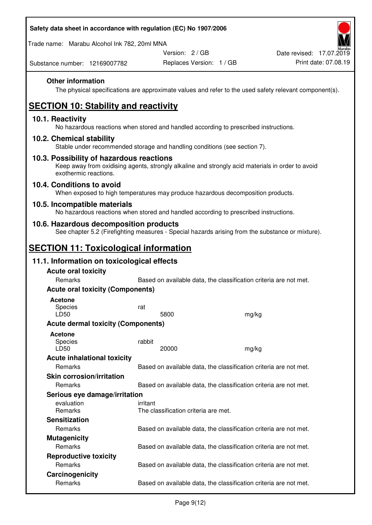Trade name: Marabu Alcohol Ink 782, 20ml MNA

Version: 2 / GB

Replaces Version: 1 / GB Print date: 07.08.19 Date revised: 17.07.2019

Substance number: 12169007782

# **Other information**

The physical specifications are approximate values and refer to the used safety relevant component(s).

# **SECTION 10: Stability and reactivity**

## **10.1. Reactivity**

No hazardous reactions when stored and handled according to prescribed instructions.

## **10.2. Chemical stability**

Stable under recommended storage and handling conditions (see section 7).

## **10.3. Possibility of hazardous reactions**

Keep away from oxidising agents, strongly alkaline and strongly acid materials in order to avoid exothermic reactions.

## **10.4. Conditions to avoid**

When exposed to high temperatures may produce hazardous decomposition products.

## **10.5. Incompatible materials**

No hazardous reactions when stored and handled according to prescribed instructions.

## **10.6. Hazardous decomposition products**

See chapter 5.2 (Firefighting measures - Special hazards arising from the substance or mixture).

# **SECTION 11: Toxicological information**

# **11.1. Information on toxicological effects**

| <b>Acute oral toxicity</b>                |          |                                                                   |  |                                                                   |  |  |
|-------------------------------------------|----------|-------------------------------------------------------------------|--|-------------------------------------------------------------------|--|--|
| Remarks                                   |          | Based on available data, the classification criteria are not met. |  |                                                                   |  |  |
| <b>Acute oral toxicity (Components)</b>   |          |                                                                   |  |                                                                   |  |  |
| <b>Acetone</b><br><b>Species</b><br>LD50  | rat      | 5800                                                              |  | mg/kg                                                             |  |  |
| <b>Acute dermal toxicity (Components)</b> |          |                                                                   |  |                                                                   |  |  |
| Acetone<br>Species<br>LD50                | rabbit   | 20000                                                             |  | mg/kg                                                             |  |  |
| <b>Acute inhalational toxicity</b>        |          |                                                                   |  |                                                                   |  |  |
| Remarks                                   |          |                                                                   |  | Based on available data, the classification criteria are not met. |  |  |
| <b>Skin corrosion/irritation</b>          |          |                                                                   |  |                                                                   |  |  |
| <b>Remarks</b>                            |          |                                                                   |  | Based on available data, the classification criteria are not met. |  |  |
| Serious eye damage/irritation             |          |                                                                   |  |                                                                   |  |  |
| evaluation<br><b>Remarks</b>              | irritant | The classification criteria are met.                              |  |                                                                   |  |  |
| <b>Sensitization</b>                      |          |                                                                   |  |                                                                   |  |  |
| <b>Remarks</b>                            |          |                                                                   |  | Based on available data, the classification criteria are not met. |  |  |
| <b>Mutagenicity</b>                       |          |                                                                   |  |                                                                   |  |  |
| Remarks                                   |          |                                                                   |  | Based on available data, the classification criteria are not met. |  |  |
| <b>Reproductive toxicity</b>              |          |                                                                   |  |                                                                   |  |  |
| <b>Remarks</b>                            |          |                                                                   |  | Based on available data, the classification criteria are not met. |  |  |
| Carcinogenicity                           |          |                                                                   |  |                                                                   |  |  |
| Remarks                                   |          |                                                                   |  | Based on available data, the classification criteria are not met. |  |  |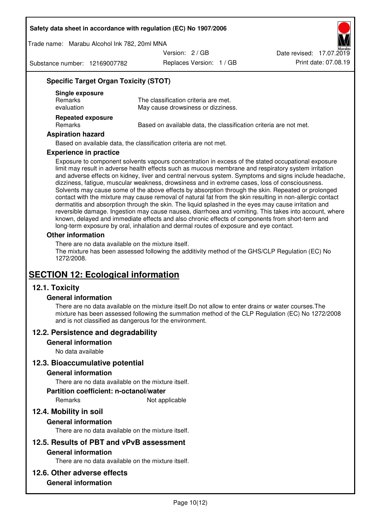Trade name: Marabu Alcohol Ink 782, 20ml MNA

Version: 2 / GB

Substance number: 12169007782

Replaces Version: 1 / GB Print date: 07.08.19 Date revised: 17.07.2019

# **Specific Target Organ Toxicity (STOT)**

| Single exposure<br><b>Remarks</b><br>evaluation | The classification criteria are met.<br>May cause drowsiness or dizziness. |
|-------------------------------------------------|----------------------------------------------------------------------------|
| <b>Repeated exposure</b><br>Remarks             | Based on available data, the classification criteria are not met.          |

#### **Aspiration hazard**

Based on available data, the classification criteria are not met.

#### **Experience in practice**

Exposure to component solvents vapours concentration in excess of the stated occupational exposure limit may result in adverse health effects such as mucous membrane and respiratory system irritation and adverse effects on kidney, liver and central nervous system. Symptoms and signs include headache, dizziness, fatigue, muscular weakness, drowsiness and in extreme cases, loss of consciousness. Solvents may cause some of the above effects by absorption through the skin. Repeated or prolonged contact with the mixture may cause removal of natural fat from the skin resulting in non-allergic contact dermatitis and absorption through the skin. The liquid splashed in the eyes may cause irritation and reversible damage. Ingestion may cause nausea, diarrhoea and vomiting. This takes into account, where known, delayed and immediate effects and also chronic effects of components from short-term and long-term exposure by oral, inhalation and dermal routes of exposure and eye contact.

#### **Other information**

There are no data available on the mixture itself. The mixture has been assessed following the additivity method of the GHS/CLP Regulation (EC) No 1272/2008.

# **SECTION 12: Ecological information**

## **12.1. Toxicity**

## **General information**

There are no data available on the mixture itself.Do not allow to enter drains or water courses.The mixture has been assessed following the summation method of the CLP Regulation (EC) No 1272/2008 and is not classified as dangerous for the environment.

## **12.2. Persistence and degradability**

#### **General information**

No data available

## **12.3. Bioaccumulative potential**

#### **General information**

There are no data available on the mixture itself.

#### **Partition coefficient: n-octanol/water**

Remarks Not applicable

# **12.4. Mobility in soil**

## **General information**

There are no data available on the mixture itself.

## **12.5. Results of PBT and vPvB assessment**

## **General information**

There are no data available on the mixture itself.

## **12.6. Other adverse effects**

## **General information**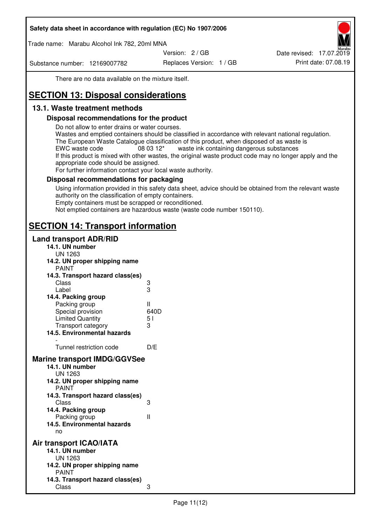Trade name: Marabu Alcohol Ink 782, 20ml MNA

Version: 2 / GB

Substance number: 12169007782

Replaces Version: 1 / GB Print date: 07.08.19 Date revised: 17.07.2019

There are no data available on the mixture itself.

# **SECTION 13: Disposal considerations**

# **13.1. Waste treatment methods**

## **Disposal recommendations for the product**

Do not allow to enter drains or water courses.

Wastes and emptied containers should be classified in accordance with relevant national regulation. The European Waste Catalogue classification of this product, when disposed of as waste is EWC waste code  $08\,03\,12^*$  waste ink containing dangerous substances If this product is mixed with other wastes, the original waste product code may no longer apply and the appropriate code should be assigned.

For further information contact your local waste authority.

## **Disposal recommendations for packaging**

Using information provided in this safety data sheet, advice should be obtained from the relevant waste authority on the classification of empty containers. Empty containers must be scrapped or reconditioned.

Not emptied containers are hazardous waste (waste code number 150110).

# **SECTION 14: Transport information**

## **Land transport ADR/RID**

| 14.1. UN number<br><b>UN 1263</b>                                                                                                                                                                                                            |                   |
|----------------------------------------------------------------------------------------------------------------------------------------------------------------------------------------------------------------------------------------------|-------------------|
| 14.2. UN proper shipping name                                                                                                                                                                                                                |                   |
| <b>PAINT</b>                                                                                                                                                                                                                                 |                   |
| 14.3. Transport hazard class(es)                                                                                                                                                                                                             |                   |
| Class                                                                                                                                                                                                                                        | ვ<br>ვ            |
| Label                                                                                                                                                                                                                                        |                   |
| 14.4. Packing group                                                                                                                                                                                                                          |                   |
| Packing group                                                                                                                                                                                                                                | Ш                 |
| Special provision                                                                                                                                                                                                                            | 640D              |
| <b>Limited Quantity</b>                                                                                                                                                                                                                      | 5 <sub>1</sub>    |
| Transport category                                                                                                                                                                                                                           | 3                 |
| 14.5. Environmental hazards                                                                                                                                                                                                                  |                   |
| Tunnel restriction code                                                                                                                                                                                                                      | D/E               |
| <b>Marine transport IMDG/GGVSee</b><br>14.1. UN number<br>UN 1263<br>14.2. UN proper shipping name<br><b>PAINT</b><br>14.3. Transport hazard class(es)<br>Class<br>14.4. Packing group<br>Packing group<br>14.5. Environmental hazards<br>no | 3<br>$\mathbf{I}$ |
| Air transport ICAO/IATA<br>14.1. UN number<br>UN 1263<br>14.2. UN proper shipping name<br><b>PAINT</b>                                                                                                                                       |                   |
| 14.3. Transport hazard class(es)<br>Class                                                                                                                                                                                                    | 3                 |